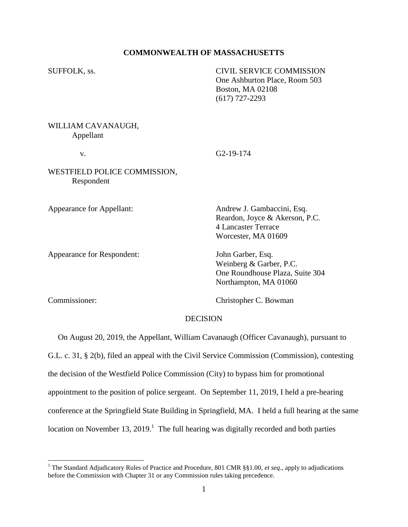## **COMMONWEALTH OF MASSACHUSETTS**

SUFFOLK, ss. CIVIL SERVICE COMMISSION One Ashburton Place, Room 503 Boston, MA 02108 (617) 727-2293

WILLIAM CAVANAUGH, Appellant

v. G2-19-174

WESTFIELD POLICE COMMISSION, Respondent

Appearance for Respondent: John Garber, Esq.

Appearance for Appellant: Andrew J. Gambaccini, Esq. Reardon, Joyce & Akerson, P.C. 4 Lancaster Terrace Worcester, MA 01609

> Weinberg & Garber, P.C. One Roundhouse Plaza, Suite 304 Northampton, MA 01060

l

Commissioner: Christopher C. Bowman

## DECISION

 On August 20, 2019, the Appellant, William Cavanaugh (Officer Cavanaugh), pursuant to G.L. c. 31, § 2(b), filed an appeal with the Civil Service Commission (Commission), contesting the decision of the Westfield Police Commission (City) to bypass him for promotional appointment to the position of police sergeant. On September 11, 2019, I held a pre-hearing conference at the Springfield State Building in Springfield, MA. I held a full hearing at the same location on November 13, 2019.<sup>1</sup> The full hearing was digitally recorded and both parties

<sup>&</sup>lt;sup>1</sup> The Standard Adjudicatory Rules of Practice and Procedure, 801 CMR §§1.00, *et seq.*, apply to adjudications before the Commission with Chapter 31 or any Commission rules taking precedence.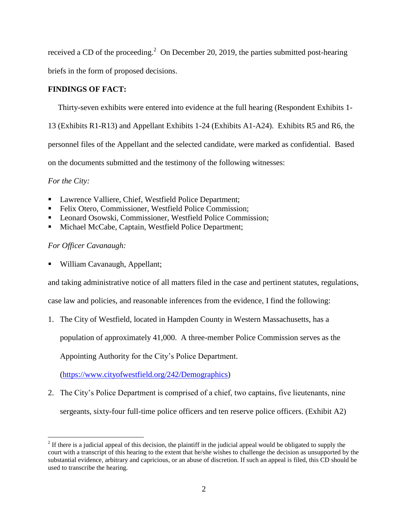received a CD of the proceeding.<sup>2</sup> On December 20, 2019, the parties submitted post-hearing briefs in the form of proposed decisions.

## **FINDINGS OF FACT:**

Thirty-seven exhibits were entered into evidence at the full hearing (Respondent Exhibits 1-

13 (Exhibits R1-R13) and Appellant Exhibits 1-24 (Exhibits A1-A24). Exhibits R5 and R6, the personnel files of the Appellant and the selected candidate, were marked as confidential. Based on the documents submitted and the testimony of the following witnesses:

*For the City:*

 $\overline{a}$ 

- Lawrence Valliere, Chief, Westfield Police Department;
- Felix Otero, Commissioner, Westfield Police Commission;
- Leonard Osowski, Commissioner, Westfield Police Commission;
- Michael McCabe, Captain, Westfield Police Department;

# *For Officer Cavanaugh:*

■ William Cavanaugh, Appellant;

and taking administrative notice of all matters filed in the case and pertinent statutes, regulations,

case law and policies, and reasonable inferences from the evidence, I find the following:

1. The City of Westfield, located in Hampden County in Western Massachusetts, has a

population of approximately 41,000. A three-member Police Commission serves as the

Appointing Authority for the City's Police Department.

[\(https://www.cityofwestfield.org/242/Demographics\)](https://www.cityofwestfield.org/242/Demographics)

2. The City's Police Department is comprised of a chief, two captains, five lieutenants, nine sergeants, sixty-four full-time police officers and ten reserve police officers. (Exhibit A2)

 $2<sup>2</sup>$  If there is a judicial appeal of this decision, the plaintiff in the judicial appeal would be obligated to supply the court with a transcript of this hearing to the extent that he/she wishes to challenge the decision as unsupported by the substantial evidence, arbitrary and capricious, or an abuse of discretion. If such an appeal is filed, this CD should be used to transcribe the hearing.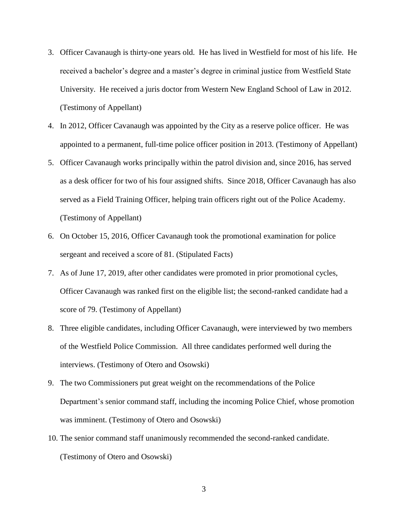- 3. Officer Cavanaugh is thirty-one years old. He has lived in Westfield for most of his life. He received a bachelor's degree and a master's degree in criminal justice from Westfield State University. He received a juris doctor from Western New England School of Law in 2012. (Testimony of Appellant)
- 4. In 2012, Officer Cavanaugh was appointed by the City as a reserve police officer. He was appointed to a permanent, full-time police officer position in 2013. (Testimony of Appellant)
- 5. Officer Cavanaugh works principally within the patrol division and, since 2016, has served as a desk officer for two of his four assigned shifts. Since 2018, Officer Cavanaugh has also served as a Field Training Officer, helping train officers right out of the Police Academy. (Testimony of Appellant)
- 6. On October 15, 2016, Officer Cavanaugh took the promotional examination for police sergeant and received a score of 81. (Stipulated Facts)
- 7. As of June 17, 2019, after other candidates were promoted in prior promotional cycles, Officer Cavanaugh was ranked first on the eligible list; the second-ranked candidate had a score of 79. (Testimony of Appellant)
- 8. Three eligible candidates, including Officer Cavanaugh, were interviewed by two members of the Westfield Police Commission. All three candidates performed well during the interviews. (Testimony of Otero and Osowski)
- 9. The two Commissioners put great weight on the recommendations of the Police Department's senior command staff, including the incoming Police Chief, whose promotion was imminent. (Testimony of Otero and Osowski)
- 10. The senior command staff unanimously recommended the second-ranked candidate. (Testimony of Otero and Osowski)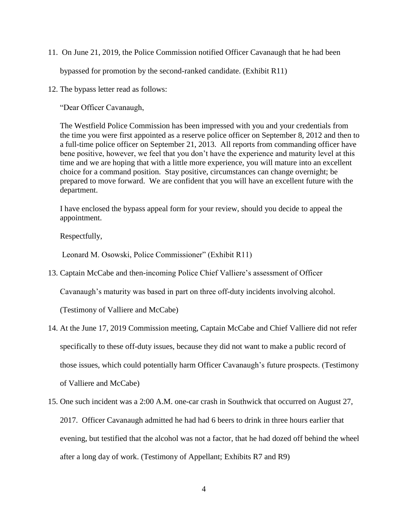11. On June 21, 2019, the Police Commission notified Officer Cavanaugh that he had been

bypassed for promotion by the second-ranked candidate. (Exhibit R11)

12. The bypass letter read as follows:

"Dear Officer Cavanaugh,

The Westfield Police Commission has been impressed with you and your credentials from the time you were first appointed as a reserve police officer on September 8, 2012 and then to a full-time police officer on September 21, 2013. All reports from commanding officer have bene positive, however, we feel that you don't have the experience and maturity level at this time and we are hoping that with a little more experience, you will mature into an excellent choice for a command position. Stay positive, circumstances can change overnight; be prepared to move forward. We are confident that you will have an excellent future with the department.

I have enclosed the bypass appeal form for your review, should you decide to appeal the appointment.

Respectfully,

Leonard M. Osowski, Police Commissioner" (Exhibit R11)

13. Captain McCabe and then-incoming Police Chief Valliere's assessment of Officer

Cavanaugh's maturity was based in part on three off-duty incidents involving alcohol.

(Testimony of Valliere and McCabe)

- 14. At the June 17, 2019 Commission meeting, Captain McCabe and Chief Valliere did not refer specifically to these off-duty issues, because they did not want to make a public record of those issues, which could potentially harm Officer Cavanaugh's future prospects. (Testimony of Valliere and McCabe)
- 15. One such incident was a 2:00 A.M. one-car crash in Southwick that occurred on August 27, 2017. Officer Cavanaugh admitted he had had 6 beers to drink in three hours earlier that evening, but testified that the alcohol was not a factor, that he had dozed off behind the wheel after a long day of work. (Testimony of Appellant; Exhibits R7 and R9)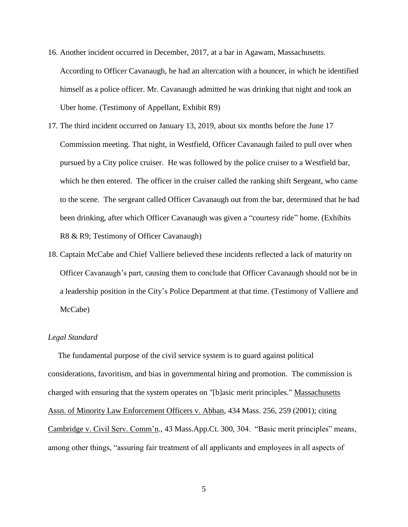- 16. Another incident occurred in December, 2017, at a bar in Agawam, Massachusetts. According to Officer Cavanaugh, he had an altercation with a bouncer, in which he identified himself as a police officer. Mr. Cavanaugh admitted he was drinking that night and took an Uber home. (Testimony of Appellant, Exhibit R9)
- 17. The third incident occurred on January 13, 2019, about six months before the June 17 Commission meeting. That night, in Westfield, Officer Cavanaugh failed to pull over when pursued by a City police cruiser. He was followed by the police cruiser to a Westfield bar, which he then entered. The officer in the cruiser called the ranking shift Sergeant, who came to the scene. The sergeant called Officer Cavanaugh out from the bar, determined that he had been drinking, after which Officer Cavanaugh was given a "courtesy ride" home. (Exhibits R8 & R9; Testimony of Officer Cavanaugh)
- 18. Captain McCabe and Chief Valliere believed these incidents reflected a lack of maturity on Officer Cavanaugh's part, causing them to conclude that Officer Cavanaugh should not be in a leadership position in the City's Police Department at that time. (Testimony of Valliere and McCabe)

### *Legal Standard*

 The fundamental purpose of the civil service system is to guard against political considerations, favoritism, and bias in governmental hiring and promotion. The commission is charged with ensuring that the system operates on "[b]asic merit principles." Massachusetts Assn. of Minority Law Enforcement Officers v. Abban, 434 Mass. 256, 259 (2001); citing Cambridge v. Civil Serv. Comm'n., 43 Mass.App.Ct. 300, 304. "Basic merit principles" means, among other things, "assuring fair treatment of all applicants and employees in all aspects of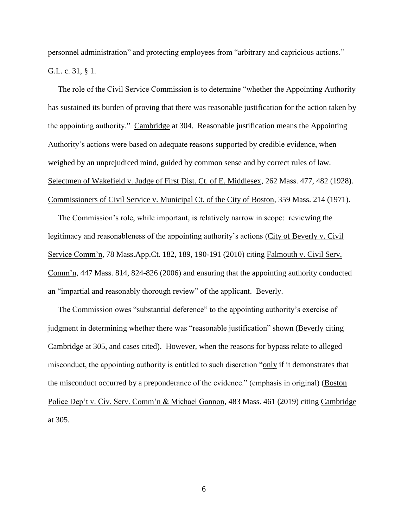personnel administration" and protecting employees from "arbitrary and capricious actions." G.L. c. 31, § 1.

 The role of the Civil Service Commission is to determine "whether the Appointing Authority has sustained its burden of proving that there was reasonable justification for the action taken by the appointing authority." Cambridge at 304. Reasonable justification means the Appointing Authority's actions were based on adequate reasons supported by credible evidence, when weighed by an unprejudiced mind, guided by common sense and by correct rules of law. Selectmen of Wakefield v. Judge of First Dist. Ct. of E. Middlesex, 262 Mass. 477, 482 (1928). Commissioners of Civil Service v. Municipal Ct. of the City of Boston, 359 Mass. 214 (1971).

 The Commission's role, while important, is relatively narrow in scope: reviewing the legitimacy and reasonableness of the appointing authority's actions (City of Beverly v. Civil Service Comm'n, 78 Mass.App.Ct. 182, 189, 190-191 (2010) citing Falmouth v. Civil Serv. Comm'n, 447 Mass. 814, 824-826 (2006) and ensuring that the appointing authority conducted an "impartial and reasonably thorough review" of the applicant. Beverly.

 The Commission owes "substantial deference" to the appointing authority's exercise of judgment in determining whether there was "reasonable justification" shown (Beverly citing Cambridge at 305, and cases cited). However, when the reasons for bypass relate to alleged misconduct, the appointing authority is entitled to such discretion "only if it demonstrates that the misconduct occurred by a preponderance of the evidence." (emphasis in original) (Boston Police Dep't v. Civ. Serv. Comm'n & Michael Gannon, 483 Mass. 461 (2019) citing Cambridge at 305.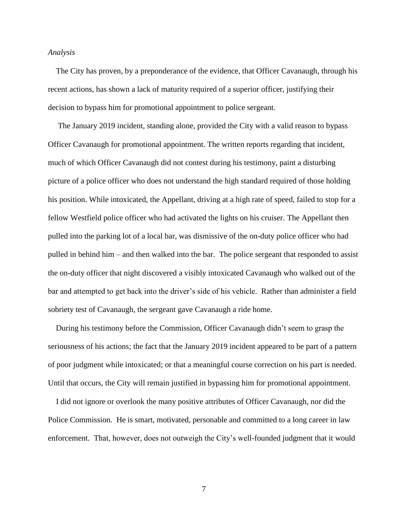#### *Analysis*

 The City has proven, by a preponderance of the evidence, that Officer Cavanaugh, through his recent actions, has shown a lack of maturity required of a superior officer, justifying their decision to bypass him for promotional appointment to police sergeant.

 The January 2019 incident, standing alone, provided the City with a valid reason to bypass Officer Cavanaugh for promotional appointment. The written reports regarding that incident, much of which Officer Cavanaugh did not contest during his testimony, paint a disturbing picture of a police officer who does not understand the high standard required of those holding his position. While intoxicated, the Appellant, driving at a high rate of speed, failed to stop for a fellow Westfield police officer who had activated the lights on his cruiser. The Appellant then pulled into the parking lot of a local bar, was dismissive of the on-duty police officer who had pulled in behind him – and then walked into the bar. The police sergeant that responded to assist the on-duty officer that night discovered a visibly intoxicated Cavanaugh who walked out of the bar and attempted to get back into the driver's side of his vehicle. Rather than administer a field sobriety test of Cavanaugh, the sergeant gave Cavanaugh a ride home.

 During his testimony before the Commission, Officer Cavanaugh didn't seem to grasp the seriousness of his actions; the fact that the January 2019 incident appeared to be part of a pattern of poor judgment while intoxicated; or that a meaningful course correction on his part is needed. Until that occurs, the City will remain justified in bypassing him for promotional appointment.

 I did not ignore or overlook the many positive attributes of Officer Cavanaugh, nor did the Police Commission. He is smart, motivated, personable and committed to a long career in law enforcement. That, however, does not outweigh the City's well-founded judgment that it would

7